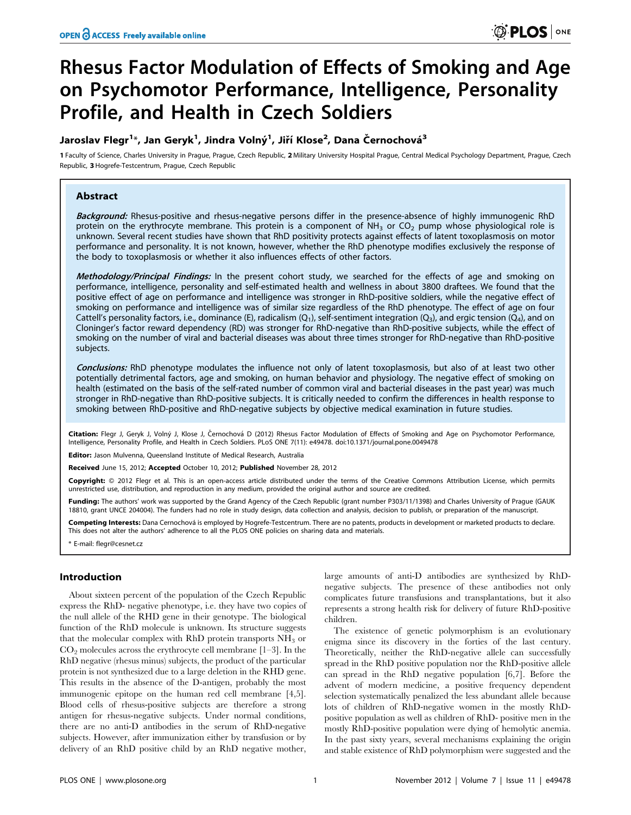# Rhesus Factor Modulation of Effects of Smoking and Age on Psychomotor Performance, Intelligence, Personality Profile, and Health in Czech Soldiers

# Jaroslav Flegr<sup>1</sup>\*, Jan Geryk<sup>1</sup>, Jindra Volný<sup>1</sup>, Jiří Klose<sup>2</sup>, Dana Černochová<sup>3</sup>

1 Faculty of Science, Charles University in Prague, Prague, Czech Republic, 2 Military University Hospital Prague, Central Medical Psychology Department, Prague, Czech Republic, 3 Hogrefe-Testcentrum, Prague, Czech Republic

# Abstract

Background: Rhesus-positive and rhesus-negative persons differ in the presence-absence of highly immunogenic RhD protein on the erythrocyte membrane. This protein is a component of  $NH<sub>3</sub>$  or CO<sub>2</sub> pump whose physiological role is unknown. Several recent studies have shown that RhD positivity protects against effects of latent toxoplasmosis on motor performance and personality. It is not known, however, whether the RhD phenotype modifies exclusively the response of the body to toxoplasmosis or whether it also influences effects of other factors.

Methodology/Principal Findings: In the present cohort study, we searched for the effects of age and smoking on performance, intelligence, personality and self-estimated health and wellness in about 3800 draftees. We found that the positive effect of age on performance and intelligence was stronger in RhD-positive soldiers, while the negative effect of smoking on performance and intelligence was of similar size regardless of the RhD phenotype. The effect of age on four Cattell's personality factors, i.e., dominance (E), radicalism (Q<sub>1</sub>), self-sentiment integration (Q<sub>3</sub>), and ergic tension (Q<sub>4</sub>), and on Cloninger's factor reward dependency (RD) was stronger for RhD-negative than RhD-positive subjects, while the effect of smoking on the number of viral and bacterial diseases was about three times stronger for RhD-negative than RhD-positive subjects.

Conclusions: RhD phenotype modulates the influence not only of latent toxoplasmosis, but also of at least two other potentially detrimental factors, age and smoking, on human behavior and physiology. The negative effect of smoking on health (estimated on the basis of the self-rated number of common viral and bacterial diseases in the past year) was much stronger in RhD-negative than RhD-positive subjects. It is critically needed to confirm the differences in health response to smoking between RhD-positive and RhD-negative subjects by objective medical examination in future studies.

Citation: Flegr J, Geryk J, Volný J, Klose J, Černochová D (2012) Rhesus Factor Modulation of Effects of Smoking and Age on Psychomotor Performance, Intelligence, Personality Profile, and Health in Czech Soldiers. PLoS ONE 7(11): e49478. doi:10.1371/journal.pone.0049478

Editor: Jason Mulvenna, Queensland Institute of Medical Research, Australia

Received June 15, 2012; Accepted October 10, 2012; Published November 28, 2012

Copyright: © 2012 Flegr et al. This is an open-access article distributed under the terms of the Creative Commons Attribution License, which permits unrestricted use, distribution, and reproduction in any medium, provided the original author and source are credited.

Funding: The authors' work was supported by the Grand Agency of the Czech Republic (grant number P303/11/1398) and Charles University of Prague (GAUK 18810, grant UNCE 204004). The funders had no role in study design, data collection and analysis, decision to publish, or preparation of the manuscript.

Competing Interests: Dana Cernochová is employed by Hogrefe-Testcentrum. There are no patents, products in development or marketed products to declare. This does not alter the authors' adherence to all the PLOS ONE policies on sharing data and materials.

\* E-mail: flegr@cesnet.cz

# Introduction

About sixteen percent of the population of the Czech Republic express the RhD- negative phenotype, i.e. they have two copies of the null allele of the RHD gene in their genotype. The biological function of the RhD molecule is unknown. Its structure suggests that the molecular complex with RhD protein transports  $NH<sub>3</sub>$  or  $CO<sub>2</sub>$  molecules across the erythrocyte cell membrane [1–3]. In the RhD negative (rhesus minus) subjects, the product of the particular protein is not synthesized due to a large deletion in the RHD gene. This results in the absence of the D-antigen, probably the most immunogenic epitope on the human red cell membrane [4,5]. Blood cells of rhesus-positive subjects are therefore a strong antigen for rhesus-negative subjects. Under normal conditions, there are no anti-D antibodies in the serum of RhD-negative subjects. However, after immunization either by transfusion or by delivery of an RhD positive child by an RhD negative mother,

large amounts of anti-D antibodies are synthesized by RhDnegative subjects. The presence of these antibodies not only complicates future transfusions and transplantations, but it also represents a strong health risk for delivery of future RhD-positive children.

The existence of genetic polymorphism is an evolutionary enigma since its discovery in the forties of the last century. Theoretically, neither the RhD-negative allele can successfully spread in the RhD positive population nor the RhD-positive allele can spread in the RhD negative population [6,7]. Before the advent of modern medicine, a positive frequency dependent selection systematically penalized the less abundant allele because lots of children of RhD-negative women in the mostly RhDpositive population as well as children of RhD- positive men in the mostly RhD-positive population were dying of hemolytic anemia. In the past sixty years, several mechanisms explaining the origin and stable existence of RhD polymorphism were suggested and the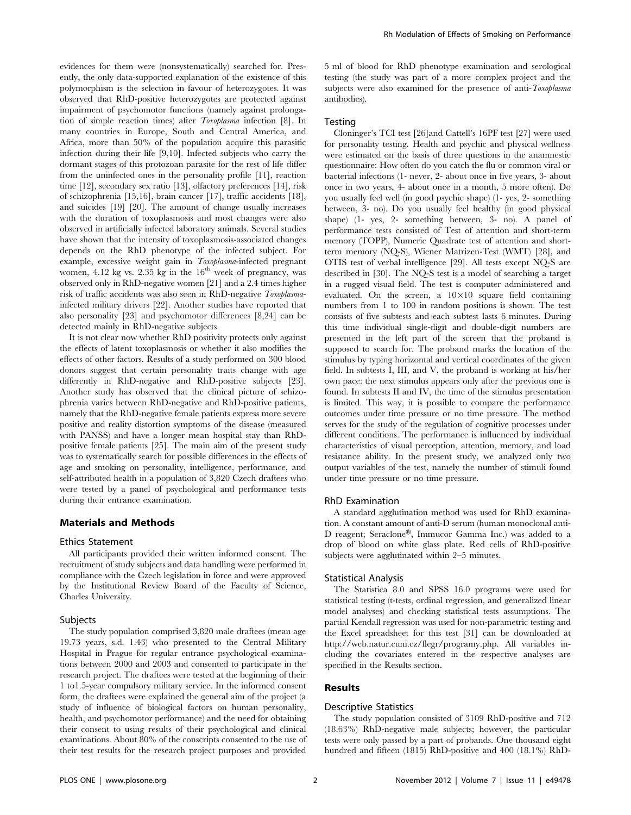evidences for them were (nonsystematically) searched for. Presently, the only data-supported explanation of the existence of this polymorphism is the selection in favour of heterozygotes. It was observed that RhD-positive heterozygotes are protected against impairment of psychomotor functions (namely against prolongation of simple reaction times) after Toxoplasma infection [8]. In many countries in Europe, South and Central America, and Africa, more than 50% of the population acquire this parasitic infection during their life [9,10]. Infected subjects who carry the dormant stages of this protozoan parasite for the rest of life differ from the uninfected ones in the personality profile [11], reaction time [12], secondary sex ratio [13], olfactory preferences [14], risk of schizophrenia [15,16], brain cancer [17], traffic accidents [18], and suicides [19] [20]. The amount of change usually increases with the duration of toxoplasmosis and most changes were also observed in artificially infected laboratory animals. Several studies have shown that the intensity of toxoplasmosis-associated changes depends on the RhD phenotype of the infected subject. For example, excessive weight gain in Toxoplasma-infected pregnant women,  $4.12$  kg vs.  $2.35$  kg in the  $16<sup>th</sup>$  week of pregnancy, was observed only in RhD-negative women [21] and a 2.4 times higher risk of traffic accidents was also seen in RhD-negative Toxoplasmainfected military drivers [22]. Another studies have reported that also personality [23] and psychomotor differences [8,24] can be detected mainly in RhD-negative subjects.

It is not clear now whether RhD positivity protects only against the effects of latent toxoplasmosis or whether it also modifies the effects of other factors. Results of a study performed on 300 blood donors suggest that certain personality traits change with age differently in RhD-negative and RhD-positive subjects [23]. Another study has observed that the clinical picture of schizophrenia varies between RhD-negative and RhD-positive patients, namely that the RhD-negative female patients express more severe positive and reality distortion symptoms of the disease (measured with PANSS) and have a longer mean hospital stay than RhDpositive female patients [25]. The main aim of the present study was to systematically search for possible differences in the effects of age and smoking on personality, intelligence, performance, and self-attributed health in a population of 3,820 Czech draftees who were tested by a panel of psychological and performance tests during their entrance examination.

#### Materials and Methods

#### Ethics Statement

All participants provided their written informed consent. The recruitment of study subjects and data handling were performed in compliance with the Czech legislation in force and were approved by the Institutional Review Board of the Faculty of Science, Charles University.

# **Subjects**

The study population comprised 3,820 male draftees (mean age 19.73 years, s.d. 1.43) who presented to the Central Military Hospital in Prague for regular entrance psychological examinations between 2000 and 2003 and consented to participate in the research project. The draftees were tested at the beginning of their 1 to1.5-year compulsory military service. In the informed consent form, the draftees were explained the general aim of the project (a study of influence of biological factors on human personality, health, and psychomotor performance) and the need for obtaining their consent to using results of their psychological and clinical examinations. About 80% of the conscripts consented to the use of their test results for the research project purposes and provided 5 ml of blood for RhD phenotype examination and serological testing (the study was part of a more complex project and the subjects were also examined for the presence of anti-Toxoplasma antibodies).

# Testing

Cloninger's TCI test [26]and Cattell's 16PF test [27] were used for personality testing. Health and psychic and physical wellness were estimated on the basis of three questions in the anamnestic questionnaire: How often do you catch the flu or common viral or bacterial infections (1- never, 2- about once in five years, 3- about once in two years, 4- about once in a month, 5 more often). Do you usually feel well (in good psychic shape) (1- yes, 2- something between, 3- no). Do you usually feel healthy (in good physical shape) (1- yes, 2- something between, 3- no). A panel of performance tests consisted of Test of attention and short-term memory (TOPP), Numeric Quadrate test of attention and shortterm memory (NQ-S), Wiener Matrizen-Test (WMT) [28], and OTIS test of verbal intelligence [29]. All tests except NQ-S are described in [30]. The NQ-S test is a model of searching a target in a rugged visual field. The test is computer administered and evaluated. On the screen, a  $10\times10$  square field containing numbers from 1 to 100 in random positions is shown. The test consists of five subtests and each subtest lasts 6 minutes. During this time individual single-digit and double-digit numbers are presented in the left part of the screen that the proband is supposed to search for. The proband marks the location of the stimulus by typing horizontal and vertical coordinates of the given field. In subtests I, III, and V, the proband is working at his/her own pace: the next stimulus appears only after the previous one is found. In subtests II and IV, the time of the stimulus presentation is limited. This way, it is possible to compare the performance outcomes under time pressure or no time pressure. The method serves for the study of the regulation of cognitive processes under different conditions. The performance is influenced by individual characteristics of visual perception, attention, memory, and load resistance ability. In the present study, we analyzed only two output variables of the test, namely the number of stimuli found under time pressure or no time pressure.

#### RhD Examination

A standard agglutination method was used for RhD examination. A constant amount of anti-D serum (human monoclonal anti-D reagent; Seraclone®, Immucor Gamma Inc.) was added to a drop of blood on white glass plate. Red cells of RhD-positive subjects were agglutinated within 2–5 minutes.

#### Statistical Analysis

The Statistica 8.0 and SPSS 16.0 programs were used for statistical testing (t-tests, ordinal regression, and generalized linear model analyses) and checking statistical tests assumptions. The partial Kendall regression was used for non-parametric testing and the Excel spreadsheet for this test [31] can be downloaded at http://web.natur.cuni.cz/flegr/programy.php. All variables including the covariates entered in the respective analyses are specified in the Results section.

# Results

# Descriptive Statistics

The study population consisted of 3109 RhD-positive and 712 (18.63%) RhD-negative male subjects; however, the particular tests were only passed by a part of probands. One thousand eight hundred and fifteen (1815) RhD-positive and 400 (18.1%) RhD-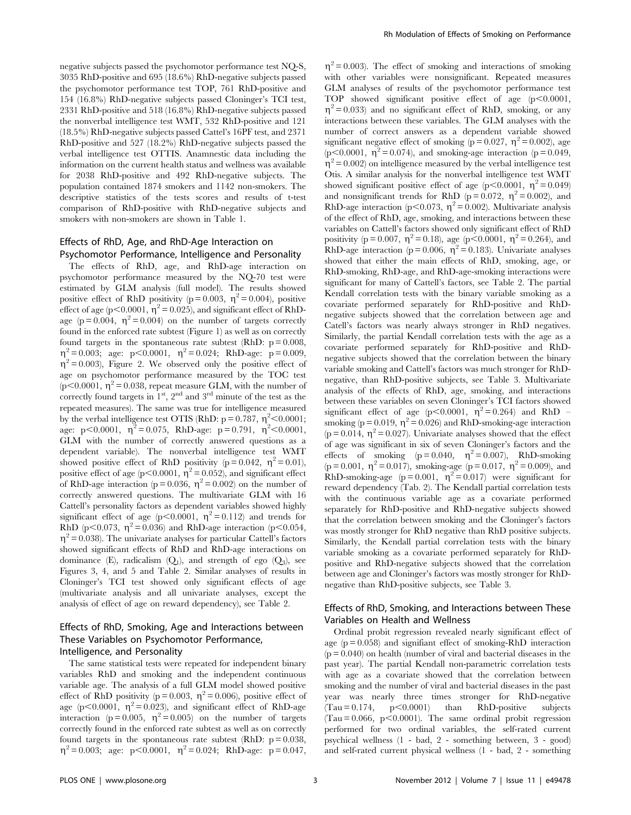negative subjects passed the psychomotor performance test NQ-S, 3035 RhD-positive and 695 (18.6%) RhD-negative subjects passed the psychomotor performance test TOP, 761 RhD-positive and 154 (16.8%) RhD-negative subjects passed Cloninger's TCI test, 2331 RhD-positive and 518 (16.8%) RhD-negative subjects passed the nonverbal intelligence test WMT, 532 RhD-positive and 121 (18.5%) RhD-negative subjects passed Cattel's 16PF test, and 2371 RhD-positive and 527 (18.2%) RhD-negative subjects passed the verbal intelligence test OTTIS. Anamnestic data including the information on the current health status and wellness was available for 2038 RhD-positive and 492 RhD-negative subjects. The population contained 1874 smokers and 1142 non-smokers. The descriptive statistics of the tests scores and results of t-test comparison of RhD-positive with RhD-negative subjects and smokers with non-smokers are shown in Table 1.

# Effects of RhD, Age, and RhD-Age Interaction on Psychomotor Performance, Intelligence and Personality

The effects of RhD, age, and RhD-age interaction on psychomotor performance measured by the NQ-70 test were estimated by GLM analysis (full model). The results showed positive effect of RhD positivity ( $p = 0.003$ ,  $\eta^2 = 0.004$ ), positive effect of age (p $\leq$ 0.0001,  $\eta^2$  = 0.025), and significant effect of RhDage ( $p = 0.004$ ,  $\eta^2 = 0.004$ ) on the number of targets correctly found in the enforced rate subtest (Figure 1) as well as on correctly found targets in the spontaneous rate subtest (RhD:  $p = 0.008$ ,  $\eta^2$  = 0.003; age: p<0.0001,  $\eta^2$  = 0.024; RhD-age: p = 0.009,  $\eta^2$  = 0.003), Figure 2. We observed only the positive effect of age on psychomotor performance measured by the TOC test  $(p<0.0001, \eta^2=0.038$ , repeat measure GLM, with the number of correctly found targets in  $1<sup>st</sup>$ ,  $2<sup>nd</sup>$  and  $3<sup>rd</sup>$  minute of the test as the repeated measures). The same was true for intelligence measured by the verbal intelligence test OTIS (RhD:  $p = 0.787$ ,  $\eta^2 < 0.0001$ ; age: p<0.0001,  $\eta^2 = 0.075$ , RhD-age: p = 0.791,  $\eta^2$  <0.0001, GLM with the number of correctly answered questions as a dependent variable). The nonverbal intelligence test WMT showed positive effect of RhD positivity ( $p = 0.042$ ,  $\eta^2 = 0.01$ ), positive effect of age (p $\leq$ 0.0001,  $\eta^2$  = 0.052), and significant effect of RhD-age interaction ( $p = 0.036$ ,  $\eta^2 = 0.002$ ) on the number of correctly answered questions. The multivariate GLM with 16 Cattell's personality factors as dependent variables showed highly significant effect of age (p<0.0001,  $\eta^2 = 0.112$ ) and trends for RhD (p<0.073,  $\eta^2$  = 0.036) and RhD-age interaction (p<0.054,  $\eta^2$  = 0.038). The univariate analyses for particular Cattell's factors showed significant effects of RhD and RhD-age interactions on dominance (E), radicalism  $(Q_1)$ , and strength of ego  $(Q_3)$ , see Figures 3, 4, and 5 and Table 2. Similar analyses of results in Cloninger's TCI test showed only significant effects of age (multivariate analysis and all univariate analyses, except the analysis of effect of age on reward dependency), see Table 2.

# Effects of RhD, Smoking, Age and Interactions between These Variables on Psychomotor Performance, Intelligence, and Personality

The same statistical tests were repeated for independent binary variables RhD and smoking and the independent continuous variable age. The analysis of a full GLM model showed positive effect of RhD positivity ( $p = 0.003$ ,  $\eta^2 = 0.006$ ), positive effect of age (p<0.0001,  $\eta^2 = 0.023$ ), and significant effect of RhD-age interaction ( $p = 0.005$ ,  $\eta^2 = 0.005$ ) on the number of targets correctly found in the enforced rate subtest as well as on correctly found targets in the spontaneous rate subtest (RhD:  $p = 0.038$ ,  $\eta^2 = 0.003$ ; age: p<0.0001,  $\eta^2 = 0.024$ ; RhD-age: p = 0.047,  $\eta^2$  = 0.003). The effect of smoking and interactions of smoking with other variables were nonsignificant. Repeated measures GLM analyses of results of the psychomotor performance test TOP showed significant positive effect of age  $(p<0.0001,$  $\eta^2$  = 0.033) and no significant effect of RhD, smoking, or any interactions between these variables. The GLM analyses with the number of correct answers as a dependent variable showed significant negative effect of smoking ( $\bar{p} = 0.027$ ,  $\eta^2 = 0.002$ ), age (p $<0.0001$ ,  $\eta^2$  = 0.074), and smoking-age interaction (p = 0.049,  $\eta^2$  = 0.002) on intelligence measured by the verbal intelligence test Otis. A similar analysis for the nonverbal intelligence test WMT showed significant positive effect of age (p $\leq 0.0001$ ,  $\eta^2 = 0.049$ ) and nonsignificant trends for RhD ( $p = 0.072$ ,  $\eta^2 = 0.002$ ), and RhD-age interaction (p<0.073,  $\eta^2$  = 0.002). Multivariate analysis of the effect of RhD, age, smoking, and interactions between these variables on Cattell's factors showed only significant effect of RhD positivity ( $p = 0.007$ ,  $\eta^2 = 0.18$ ), age ( $p < 0.0001$ ,  $\eta^2 = 0.264$ ), and RhD-age interaction (p = 0.006,  $\eta^2$  = 0.183). Univariate analyses showed that either the main effects of RhD, smoking, age, or RhD-smoking, RhD-age, and RhD-age-smoking interactions were significant for many of Cattell's factors, see Table 2. The partial Kendall correlation tests with the binary variable smoking as a covariate performed separately for RhD-positive and RhDnegative subjects showed that the correlation between age and Catell's factors was nearly always stronger in RhD negatives. Similarly, the partial Kendall correlation tests with the age as a covariate performed separately for RhD-positive and RhDnegative subjects showed that the correlation between the binary variable smoking and Cattell's factors was much stronger for RhDnegative, than RhD-positive subjects, see Table 3. Multivariate analysis of the effects of RhD, age, smoking, and interactions between these variables on seven Cloninger's TCI factors showed significant effect of age (p $\leq 0.0001$ ,  $\eta^2 = 0.264$ ) and RhD smoking (p = 0.019,  $\eta^2$  = 0.026) and RhD-smoking-age interaction  $(p = 0.014, \eta^2 = 0.027)$ . Univariate analyses showed that the effect of age was significant in six of seven Cloninger's factors and the effects of smoking (p = 0.040,  $\eta^2$  = 0.007), RhD-smoking (p = 0.001,  $\eta^2$  = 0.017), smoking-age (p = 0.017,  $\eta^2$  = 0.009), and RhD-smoking-age ( $p = 0.001$ ,  $\eta^2 = 0.017$ ) were significant for reward dependency (Tab. 2). The Kendall partial correlation tests with the continuous variable age as a covariate performed separately for RhD-positive and RhD-negative subjects showed that the correlation between smoking and the Cloninger's factors was mostly stronger for RhD negative than RhD positive subjects. Similarly, the Kendall partial correlation tests with the binary variable smoking as a covariate performed separately for RhDpositive and RhD-negative subjects showed that the correlation between age and Cloninger's factors was mostly stronger for RhDnegative than RhD-positive subjects, see Table 3.

# Effects of RhD, Smoking, and Interactions between These Variables on Health and Wellness

Ordinal probit regression revealed nearly significant effect of age  $(p = 0.058)$  and signifiant effect of smoking-RhD interaction  $(p = 0.040)$  on health (number of viral and bacterial diseases in the past year). The partial Kendall non-parametric correlation tests with age as a covariate showed that the correlation between smoking and the number of viral and bacterial diseases in the past year was nearly three times stronger for RhD-negative  $(Tau = 0.174, p < 0.0001)$  than RhD-positive subjects  $(Tau = 0.066, p < 0.0001)$ . The same ordinal probit regression performed for two ordinal variables, the self-rated current psychical wellness (1 - bad, 2 - something between, 3 - good) and self-rated current physical wellness (1 - bad, 2 - something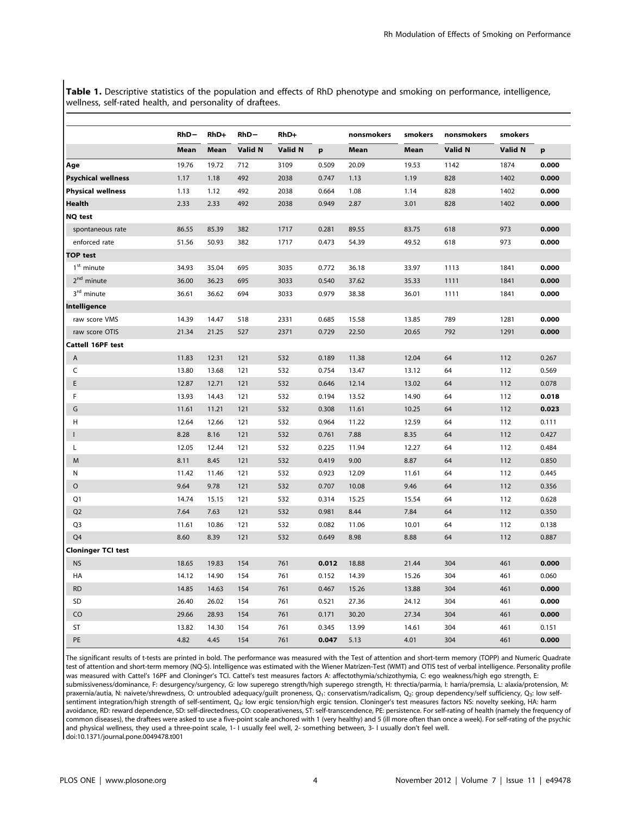Table 1. Descriptive statistics of the population and effects of RhD phenotype and smoking on performance, intelligence, wellness, self-rated health, and personality of draftees.

|                           | $RhD-$ | RhD+  | $RhD-$  | RhD+    |       | nonsmokers | smokers | nonsmokers | smokers |       |
|---------------------------|--------|-------|---------|---------|-------|------------|---------|------------|---------|-------|
|                           | Mean   | Mean  | Valid N | Valid N | p     | Mean       | Mean    | Valid N    | Valid N | p     |
| Age                       | 19.76  | 19.72 | 712     | 3109    | 0.509 | 20.09      | 19.53   | 1142       | 1874    | 0.000 |
| <b>Psychical wellness</b> | 1.17   | 1.18  | 492     | 2038    | 0.747 | 1.13       | 1.19    | 828        | 1402    | 0.000 |
| <b>Physical wellness</b>  | 1.13   | 1.12  | 492     | 2038    | 0.664 | 1.08       | 1.14    | 828        | 1402    | 0.000 |
| Health                    | 2.33   | 2.33  | 492     | 2038    | 0.949 | 2.87       | 3.01    | 828        | 1402    | 0.000 |
| <b>NQ test</b>            |        |       |         |         |       |            |         |            |         |       |
| spontaneous rate          | 86.55  | 85.39 | 382     | 1717    | 0.281 | 89.55      | 83.75   | 618        | 973     | 0.000 |
| enforced rate             | 51.56  | 50.93 | 382     | 1717    | 0.473 | 54.39      | 49.52   | 618        | 973     | 0.000 |
| <b>TOP test</b>           |        |       |         |         |       |            |         |            |         |       |
| $1st$ minute              | 34.93  | 35.04 | 695     | 3035    | 0.772 | 36.18      | 33.97   | 1113       | 1841    | 0.000 |
| 2 <sup>nd</sup> minute    | 36.00  | 36.23 | 695     | 3033    | 0.540 | 37.62      | 35.33   | 1111       | 1841    | 0.000 |
| 3 <sup>rd</sup> minute    | 36.61  | 36.62 | 694     | 3033    | 0.979 | 38.38      | 36.01   | 1111       | 1841    | 0.000 |
| Intelligence              |        |       |         |         |       |            |         |            |         |       |
| raw score VMS             | 14.39  | 14.47 | 518     | 2331    | 0.685 | 15.58      | 13.85   | 789        | 1281    | 0.000 |
| raw score OTIS            | 21.34  | 21.25 | 527     | 2371    | 0.729 | 22.50      | 20.65   | 792        | 1291    | 0.000 |
| Cattell 16PF test         |        |       |         |         |       |            |         |            |         |       |
| Α                         | 11.83  | 12.31 | 121     | 532     | 0.189 | 11.38      | 12.04   | 64         | 112     | 0.267 |
| C                         | 13.80  | 13.68 | 121     | 532     | 0.754 | 13.47      | 13.12   | 64         | 112     | 0.569 |
| E                         | 12.87  | 12.71 | 121     | 532     | 0.646 | 12.14      | 13.02   | 64         | 112     | 0.078 |
| F                         | 13.93  | 14.43 | 121     | 532     | 0.194 | 13.52      | 14.90   | 64         | 112     | 0.018 |
| G                         | 11.61  | 11.21 | 121     | 532     | 0.308 | 11.61      | 10.25   | 64         | 112     | 0.023 |
| н                         | 12.64  | 12.66 | 121     | 532     | 0.964 | 11.22      | 12.59   | 64         | 112     | 0.111 |
| $\mathbf{I}$              | 8.28   | 8.16  | 121     | 532     | 0.761 | 7.88       | 8.35    | 64         | 112     | 0.427 |
| L                         | 12.05  | 12.44 | 121     | 532     | 0.225 | 11.94      | 12.27   | 64         | 112     | 0.484 |
| M                         | 8.11   | 8.45  | 121     | 532     | 0.419 | 9.00       | 8.87    | 64         | 112     | 0.850 |
| N                         | 11.42  | 11.46 | 121     | 532     | 0.923 | 12.09      | 11.61   | 64         | 112     | 0.445 |
| $\circ$                   | 9.64   | 9.78  | 121     | 532     | 0.707 | 10.08      | 9.46    | 64         | 112     | 0.356 |
| Q1                        | 14.74  | 15.15 | 121     | 532     | 0.314 | 15.25      | 15.54   | 64         | 112     | 0.628 |
| Q <sub>2</sub>            | 7.64   | 7.63  | 121     | 532     | 0.981 | 8.44       | 7.84    | 64         | 112     | 0.350 |
| Q <sub>3</sub>            | 11.61  | 10.86 | 121     | 532     | 0.082 | 11.06      | 10.01   | 64         | 112     | 0.138 |
| Q4                        | 8.60   | 8.39  | 121     | 532     | 0.649 | 8.98       | 8.88    | 64         | 112     | 0.887 |
| <b>Cloninger TCI test</b> |        |       |         |         |       |            |         |            |         |       |
| <b>NS</b>                 | 18.65  | 19.83 | 154     | 761     | 0.012 | 18.88      | 21.44   | 304        | 461     | 0.000 |
| HA                        | 14.12  | 14.90 | 154     | 761     | 0.152 | 14.39      | 15.26   | 304        | 461     | 0.060 |
| <b>RD</b>                 | 14.85  | 14.63 | 154     | 761     | 0.467 | 15.26      | 13.88   | 304        | 461     | 0.000 |
| SD                        | 26.40  | 26.02 | 154     | 761     | 0.521 | 27.36      | 24.12   | 304        | 461     | 0.000 |
| CO                        | 29.66  | 28.93 | 154     | 761     | 0.171 | 30.20      | 27.34   | 304        | 461     | 0.000 |
| ST                        | 13.82  | 14.30 | 154     | 761     | 0.345 | 13.99      | 14.61   | 304        | 461     | 0.151 |
| PE                        | 4.82   | 4.45  | 154     | 761     | 0.047 | 5.13       | 4.01    | 304        | 461     | 0.000 |

The significant results of t-tests are printed in bold. The performance was measured with the Test of attention and short-term memory (TOPP) and Numeric Quadrate test of attention and short-term memory (NQ-S). Intelligence was estimated with the Wiener Matrizen-Test (WMT) and OTIS test of verbal intelligence. Personality profile was measured with Cattel's 16PF and Cloninger's TCI. Cattel's test measures factors A: affectothymia/schizothymia, C: ego weakness/high ego strength, E: submissiveness/dominance, F: desurgency/surgency, G: low superego strength/high superego strength, H: threctia/parmia, I: harria/premsia, L: alaxia/protension, M: praxernia/autia, N: naivete/shrewdness, O: untroubled adequacy/guilt proneness, Q<sub>1</sub>: conservatism/radicalism, Q<sub>2</sub>: group dependency/self sufficiency, Q<sub>3</sub>: low selfsentiment integration/high strength of self-sentiment, Q4: low ergic tension/high ergic tension. Cloninger's test measures factors NS: novelty seeking, HA: harm avoidance, RD: reward dependence, SD: self-directedness, CO: cooperativeness, ST: self-transcendence, PE: persistence. For self-rating of health (namely the frequency of common diseases), the draftees were asked to use a five-point scale anchored with 1 (very healthy) and 5 (ill more often than once a week). For self-rating of the psychic and physical wellness, they used a three-point scale, 1- I usually feel well, 2- something between, 3- I usually don't feel well. doi:10.1371/journal.pone.0049478.t001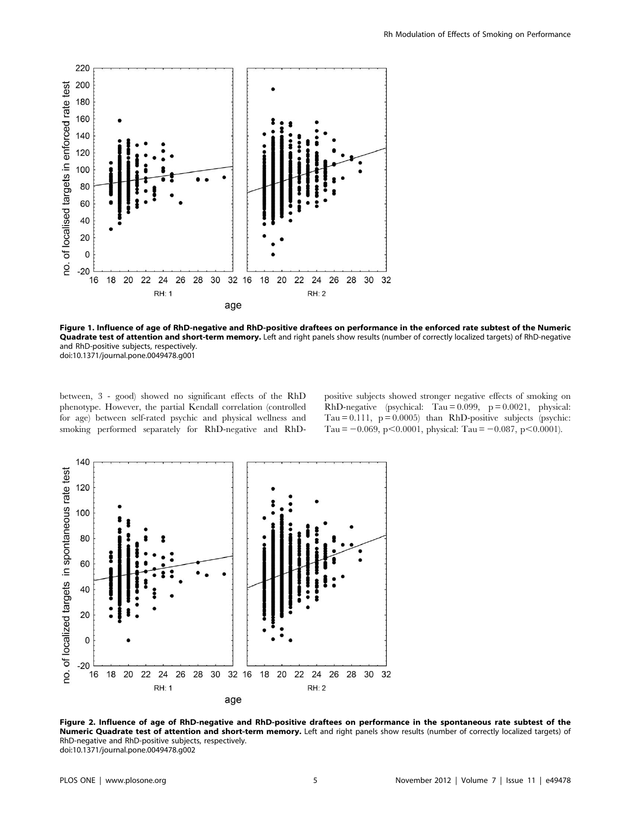

Figure 1. Influence of age of RhD-negative and RhD-positive draftees on performance in the enforced rate subtest of the Numeric Quadrate test of attention and short-term memory. Left and right panels show results (number of correctly localized targets) of RhD-negative and RhD-positive subjects, respectively. doi:10.1371/journal.pone.0049478.g001

between, 3 - good) showed no significant effects of the RhD phenotype. However, the partial Kendall correlation (controlled for age) between self-rated psychic and physical wellness and smoking performed separately for RhD-negative and RhD-

positive subjects showed stronger negative effects of smoking on RhD-negative (psychical: Tau = 0.099, p = 0.0021, physical: Tau =  $0.111$ , p =  $0.0005$ ) than RhD-positive subjects (psychic: Tau =  $-0.069$ , p $< 0.0001$ , physical: Tau =  $-0.087$ , p $< 0.0001$ ).



Figure 2. Influence of age of RhD-negative and RhD-positive draftees on performance in the spontaneous rate subtest of the Numeric Quadrate test of attention and short-term memory. Left and right panels show results (number of correctly localized targets) of RhD-negative and RhD-positive subjects, respectively. doi:10.1371/journal.pone.0049478.g002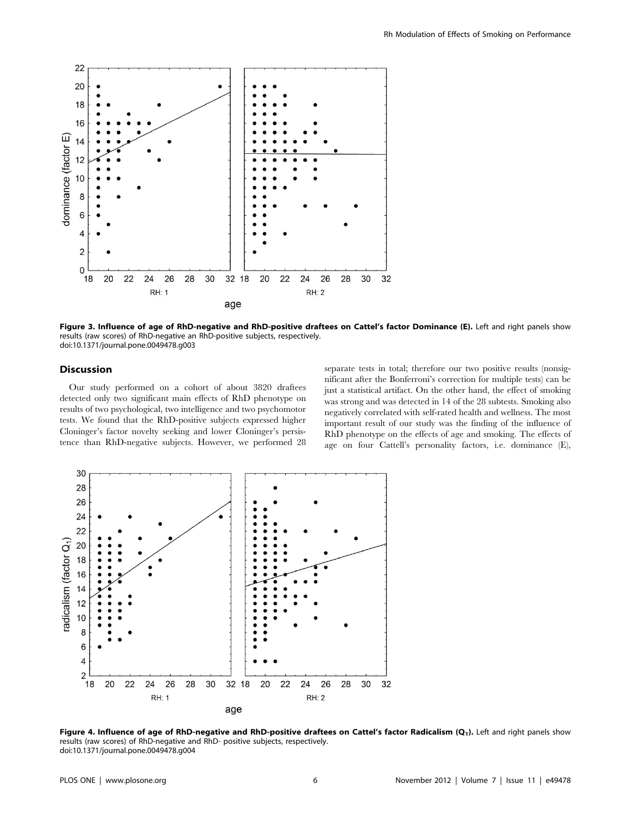

Figure 3. Influence of age of RhD-negative and RhD-positive draftees on Cattel's factor Dominance (E). Left and right panels show results (raw scores) of RhD-negative an RhD-positive subjects, respectively. doi:10.1371/journal.pone.0049478.g003

# Discussion

Our study performed on a cohort of about 3820 draftees detected only two significant main effects of RhD phenotype on results of two psychological, two intelligence and two psychomotor tests. We found that the RhD-positive subjects expressed higher Cloninger's factor novelty seeking and lower Cloninger's persistence than RhD-negative subjects. However, we performed 28 separate tests in total; therefore our two positive results (nonsignificant after the Bonferroni's correction for multiple tests) can be just a statistical artifact. On the other hand, the effect of smoking was strong and was detected in 14 of the 28 subtests. Smoking also negatively correlated with self-rated health and wellness. The most important result of our study was the finding of the influence of RhD phenotype on the effects of age and smoking. The effects of age on four Cattell's personality factors, i.e. dominance (E),



Figure 4. Influence of age of RhD-negative and RhD-positive draftees on Cattel's factor Radicalism (Q1). Left and right panels show results (raw scores) of RhD-negative and RhD- positive subjects, respectively. doi:10.1371/journal.pone.0049478.g004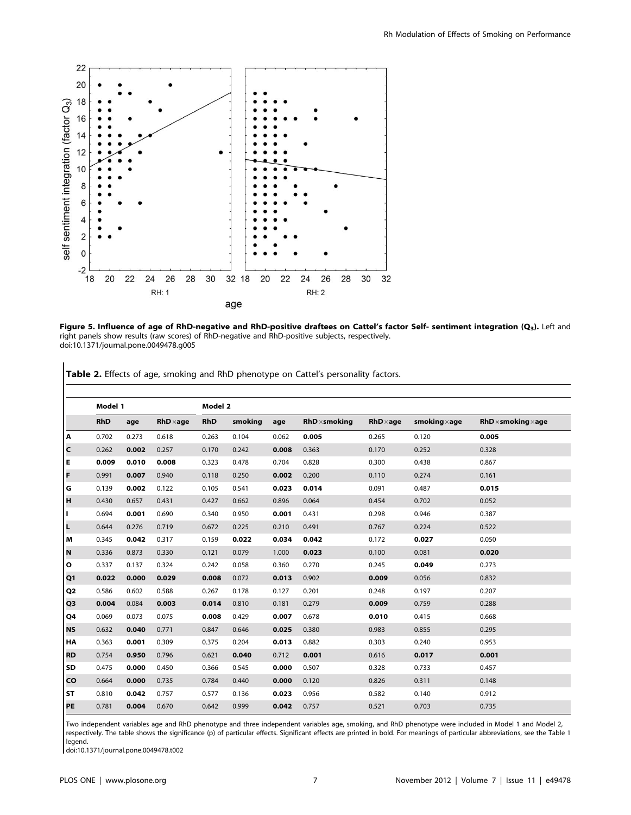

Figure 5. Influence of age of RhD-negative and RhD-positive draftees on Cattel's factor Self- sentiment integration (Q3). Left and right panels show results (raw scores) of RhD-negative and RhD-positive subjects, respectively. doi:10.1371/journal.pone.0049478.g005

Table 2. Effects of age, smoking and RhD phenotype on Cattel's personality factors.

|                           | Model 1    |       |                  | Model 2    |         |       |                      |                  |                      |                                   |  |  |  |
|---------------------------|------------|-------|------------------|------------|---------|-------|----------------------|------------------|----------------------|-----------------------------------|--|--|--|
|                           | <b>RhD</b> | age   | $RhD \times age$ | <b>RhD</b> | smoking | age   | $RhD \times$ smoking | $RhD \times aqe$ | smoking $\times$ age | $RhD \times$ smoking $\times$ age |  |  |  |
| A                         | 0.702      | 0.273 | 0.618            | 0.263      | 0.104   | 0.062 | 0.005                | 0.265            | 0.120                | 0.005                             |  |  |  |
| C                         | 0.262      | 0.002 | 0.257            | 0.170      | 0.242   | 0.008 | 0.363                | 0.170            | 0.252                | 0.328                             |  |  |  |
| Е                         | 0.009      | 0.010 | 0.008            | 0.323      | 0.478   | 0.704 | 0.828                | 0.300            | 0.438                | 0.867                             |  |  |  |
| F                         | 0.991      | 0.007 | 0.940            | 0.118      | 0.250   | 0.002 | 0.200                | 0.110            | 0.274                | 0.161                             |  |  |  |
| G                         | 0.139      | 0.002 | 0.122            | 0.105      | 0.541   | 0.023 | 0.014                | 0.091            | 0.487                | 0.015                             |  |  |  |
| H                         | 0.430      | 0.657 | 0.431            | 0.427      | 0.662   | 0.896 | 0.064                | 0.454            | 0.702                | 0.052                             |  |  |  |
| H.                        | 0.694      | 0.001 | 0.690            | 0.340      | 0.950   | 0.001 | 0.431                | 0.298            | 0.946                | 0.387                             |  |  |  |
| L                         | 0.644      | 0.276 | 0.719            | 0.672      | 0.225   | 0.210 | 0.491                | 0.767            | 0.224                | 0.522                             |  |  |  |
| M                         | 0.345      | 0.042 | 0.317            | 0.159      | 0.022   | 0.034 | 0.042                | 0.172            | 0.027                | 0.050                             |  |  |  |
| $\boldsymbol{\mathsf{N}}$ | 0.336      | 0.873 | 0.330            | 0.121      | 0.079   | 1.000 | 0.023                | 0.100            | 0.081                | 0.020                             |  |  |  |
| O                         | 0.337      | 0.137 | 0.324            | 0.242      | 0.058   | 0.360 | 0.270                | 0.245            | 0.049                | 0.273                             |  |  |  |
| Q1                        | 0.022      | 0.000 | 0.029            | 0.008      | 0.072   | 0.013 | 0.902                | 0.009            | 0.056                | 0.832                             |  |  |  |
| Q <sub>2</sub>            | 0.586      | 0.602 | 0.588            | 0.267      | 0.178   | 0.127 | 0.201                | 0.248            | 0.197                | 0.207                             |  |  |  |
| Q3                        | 0.004      | 0.084 | 0.003            | 0.014      | 0.810   | 0.181 | 0.279                | 0.009            | 0.759                | 0.288                             |  |  |  |
| Q4                        | 0.069      | 0.073 | 0.075            | 0.008      | 0.429   | 0.007 | 0.678                | 0.010            | 0.415                | 0.668                             |  |  |  |
| <b>NS</b>                 | 0.632      | 0.040 | 0.771            | 0.847      | 0.646   | 0.025 | 0.380                | 0.983            | 0.855                | 0.295                             |  |  |  |
| HA                        | 0.363      | 0.001 | 0.309            | 0.375      | 0.204   | 0.013 | 0.882                | 0.303            | 0.240                | 0.953                             |  |  |  |
| <b>RD</b>                 | 0.754      | 0.950 | 0.796            | 0.621      | 0.040   | 0.712 | 0.001                | 0.616            | 0.017                | 0.001                             |  |  |  |
| <b>SD</b>                 | 0.475      | 0.000 | 0.450            | 0.366      | 0.545   | 0.000 | 0.507                | 0.328            | 0.733                | 0.457                             |  |  |  |
| CO                        | 0.664      | 0.000 | 0.735            | 0.784      | 0.440   | 0.000 | 0.120                | 0.826            | 0.311                | 0.148                             |  |  |  |
| <b>ST</b>                 | 0.810      | 0.042 | 0.757            | 0.577      | 0.136   | 0.023 | 0.956                | 0.582            | 0.140                | 0.912                             |  |  |  |
| PE                        | 0.781      | 0.004 | 0.670            | 0.642      | 0.999   | 0.042 | 0.757                | 0.521            | 0.703                | 0.735                             |  |  |  |

Two independent variables age and RhD phenotype and three independent variables age, smoking, and RhD phenotype were included in Model 1 and Model 2, respectively. The table shows the significance (p) of particular effects. Significant effects are printed in bold. For meanings of particular abbreviations, see the Table 1 legend.

doi:10.1371/journal.pone.0049478.t002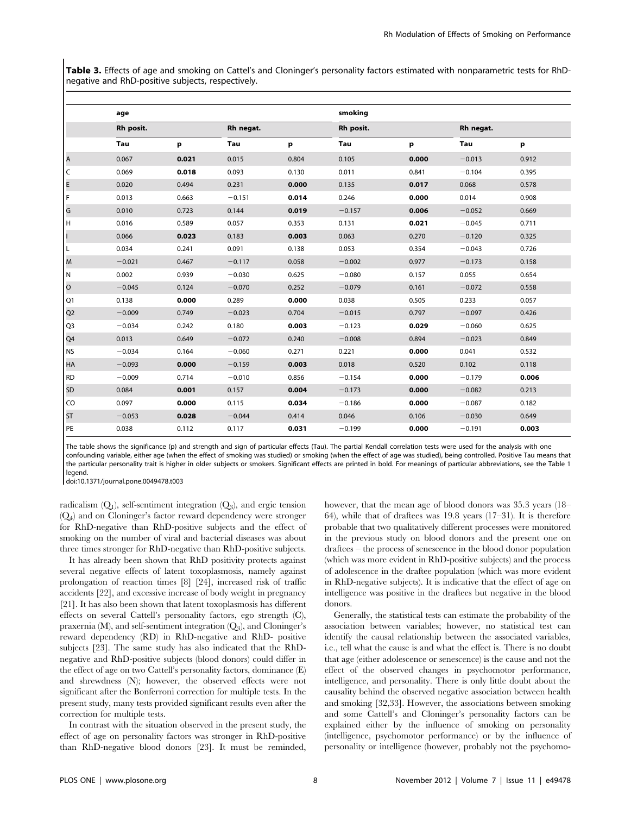Table 3. Effects of age and smoking on Cattel's and Cloninger's personality factors estimated with nonparametric tests for RhDnegative and RhD-positive subjects, respectively.

|                | age       |       |           |       | smoking   |       |           |       |  |  |  |
|----------------|-----------|-------|-----------|-------|-----------|-------|-----------|-------|--|--|--|
|                | Rh posit. |       | Rh negat. |       | Rh posit. |       | Rh negat. |       |  |  |  |
|                | Tau       | р     | Tau       | р     | Tau       | р     | Tau       | р     |  |  |  |
| A              | 0.067     | 0.021 | 0.015     | 0.804 | 0.105     | 0.000 | $-0.013$  | 0.912 |  |  |  |
| lc             | 0.069     | 0.018 | 0.093     | 0.130 | 0.011     | 0.841 | $-0.104$  | 0.395 |  |  |  |
| E.             | 0.020     | 0.494 | 0.231     | 0.000 | 0.135     | 0.017 | 0.068     | 0.578 |  |  |  |
| l F            | 0.013     | 0.663 | $-0.151$  | 0.014 | 0.246     | 0.000 | 0.014     | 0.908 |  |  |  |
| G              | 0.010     | 0.723 | 0.144     | 0.019 | $-0.157$  | 0.006 | $-0.052$  | 0.669 |  |  |  |
| lн             | 0.016     | 0.589 | 0.057     | 0.353 | 0.131     | 0.021 | $-0.045$  | 0.711 |  |  |  |
| Ш              | 0.066     | 0.023 | 0.183     | 0.003 | 0.063     | 0.270 | $-0.120$  | 0.325 |  |  |  |
| L              | 0.034     | 0.241 | 0.091     | 0.138 | 0.053     | 0.354 | $-0.043$  | 0.726 |  |  |  |
| Iм             | $-0.021$  | 0.467 | $-0.117$  | 0.058 | $-0.002$  | 0.977 | $-0.173$  | 0.158 |  |  |  |
| IN.            | 0.002     | 0.939 | $-0.030$  | 0.625 | $-0.080$  | 0.157 | 0.055     | 0.654 |  |  |  |
| lo.            | $-0.045$  | 0.124 | $-0.070$  | 0.252 | $-0.079$  | 0.161 | $-0.072$  | 0.558 |  |  |  |
| O1             | 0.138     | 0.000 | 0.289     | 0.000 | 0.038     | 0.505 | 0.233     | 0.057 |  |  |  |
| Q <sub>2</sub> | $-0.009$  | 0.749 | $-0.023$  | 0.704 | $-0.015$  | 0.797 | $-0.097$  | 0.426 |  |  |  |
| Q <sub>3</sub> | $-0.034$  | 0.242 | 0.180     | 0.003 | $-0.123$  | 0.029 | $-0.060$  | 0.625 |  |  |  |
| Q4             | 0.013     | 0.649 | $-0.072$  | 0.240 | $-0.008$  | 0.894 | $-0.023$  | 0.849 |  |  |  |
| N <sub>S</sub> | $-0.034$  | 0.164 | $-0.060$  | 0.271 | 0.221     | 0.000 | 0.041     | 0.532 |  |  |  |
| HA             | $-0.093$  | 0.000 | $-0.159$  | 0.003 | 0.018     | 0.520 | 0.102     | 0.118 |  |  |  |
| RD             | $-0.009$  | 0.714 | $-0.010$  | 0.856 | $-0.154$  | 0.000 | $-0.179$  | 0.006 |  |  |  |
| SD             | 0.084     | 0.001 | 0.157     | 0.004 | $-0.173$  | 0.000 | $-0.082$  | 0.213 |  |  |  |
| <b>CO</b>      | 0.097     | 0.000 | 0.115     | 0.034 | $-0.186$  | 0.000 | $-0.087$  | 0.182 |  |  |  |
| <b>ST</b>      | $-0.053$  | 0.028 | $-0.044$  | 0.414 | 0.046     | 0.106 | $-0.030$  | 0.649 |  |  |  |
| PE             | 0.038     | 0.112 | 0.117     | 0.031 | $-0.199$  | 0.000 | $-0.191$  | 0.003 |  |  |  |

The table shows the significance (p) and strength and sign of particular effects (Tau). The partial Kendall correlation tests were used for the analysis with one confounding variable, either age (when the effect of smoking was studied) or smoking (when the effect of age was studied), being controlled. Positive Tau means that the particular personality trait is higher in older subjects or smokers. Significant effects are printed in bold. For meanings of particular abbreviations, see the Table 1 legend.

doi:10.1371/journal.pone.0049478.t003

radicalism  $(Q_1)$ , self-sentiment integration  $(Q_3)$ , and ergic tension (Q4) and on Cloninger's factor reward dependency were stronger for RhD-negative than RhD-positive subjects and the effect of smoking on the number of viral and bacterial diseases was about three times stronger for RhD-negative than RhD-positive subjects.

It has already been shown that RhD positivity protects against several negative effects of latent toxoplasmosis, namely against prolongation of reaction times [8] [24], increased risk of traffic accidents [22], and excessive increase of body weight in pregnancy [21]. It has also been shown that latent toxoplasmosis has different effects on several Cattell's personality factors, ego strength (C), praxernia  $(M)$ , and self-sentiment integration  $(Q_3)$ , and Cloninger's reward dependency (RD) in RhD-negative and RhD- positive subjects [23]. The same study has also indicated that the RhDnegative and RhD-positive subjects (blood donors) could differ in the effect of age on two Cattell's personality factors, dominance (E) and shrewdness (N); however, the observed effects were not significant after the Bonferroni correction for multiple tests. In the present study, many tests provided significant results even after the correction for multiple tests.

In contrast with the situation observed in the present study, the effect of age on personality factors was stronger in RhD-positive than RhD-negative blood donors [23]. It must be reminded, however, that the mean age of blood donors was 35.3 years (18– 64), while that of draftees was 19.8 years (17–31). It is therefore probable that two qualitatively different processes were monitored in the previous study on blood donors and the present one on draftees – the process of senescence in the blood donor population (which was more evident in RhD-positive subjects) and the process of adolescence in the draftee population (which was more evident in RhD-negative subjects). It is indicative that the effect of age on intelligence was positive in the draftees but negative in the blood donors.

Generally, the statistical tests can estimate the probability of the association between variables; however, no statistical test can identify the causal relationship between the associated variables, i.e., tell what the cause is and what the effect is. There is no doubt that age (either adolescence or senescence) is the cause and not the effect of the observed changes in psychomotor performance, intelligence, and personality. There is only little doubt about the causality behind the observed negative association between health and smoking [32,33]. However, the associations between smoking and some Cattell's and Cloninger's personality factors can be explained either by the influence of smoking on personality (intelligence, psychomotor performance) or by the influence of personality or intelligence (however, probably not the psychomo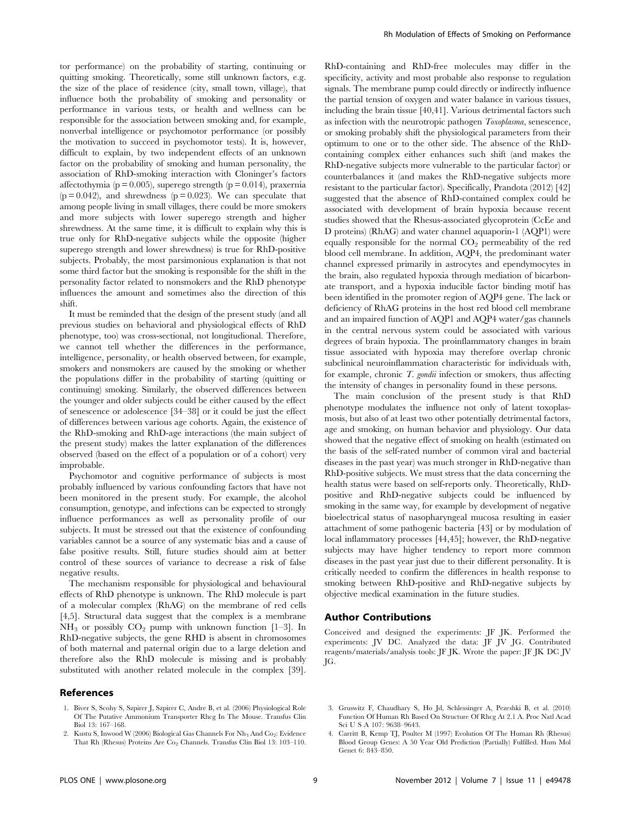tor performance) on the probability of starting, continuing or quitting smoking. Theoretically, some still unknown factors, e.g. the size of the place of residence (city, small town, village), that influence both the probability of smoking and personality or performance in various tests, or health and wellness can be responsible for the association between smoking and, for example, nonverbal intelligence or psychomotor performance (or possibly the motivation to succeed in psychomotor tests). It is, however, difficult to explain, by two independent effects of an unknown factor on the probability of smoking and human personality, the association of RhD-smoking interaction with Cloninger's factors affectothymia ( $p = 0.005$ ), superego strength ( $p = 0.014$ ), praxernia  $(p = 0.042)$ , and shrewdness  $(p = 0.023)$ . We can speculate that among people living in small villages, there could be more smokers and more subjects with lower superego strength and higher shrewdness. At the same time, it is difficult to explain why this is true only for RhD-negative subjects while the opposite (higher superego strength and lower shrewdness) is true for RhD-positive subjects. Probably, the most parsimonious explanation is that not some third factor but the smoking is responsible for the shift in the personality factor related to nonsmokers and the RhD phenotype influences the amount and sometimes also the direction of this shift.

It must be reminded that the design of the present study (and all previous studies on behavioral and physiological effects of RhD phenotype, too) was cross-sectional, not longitudional. Therefore, we cannot tell whether the differences in the performance, intelligence, personality, or health observed between, for example, smokers and nonsmokers are caused by the smoking or whether the populations differ in the probability of starting (quitting or continuing) smoking. Similarly, the observed differences between the younger and older subjects could be either caused by the effect of senescence or adolescence [34–38] or it could be just the effect of differences between various age cohorts. Again, the existence of the RhD-smoking and RhD-age interactions (the main subject of the present study) makes the latter explanation of the differences observed (based on the effect of a population or of a cohort) very improbable.

Psychomotor and cognitive performance of subjects is most probably influenced by various confounding factors that have not been monitored in the present study. For example, the alcohol consumption, genotype, and infections can be expected to strongly influence performances as well as personality profile of our subjects. It must be stressed out that the existence of confounding variables cannot be a source of any systematic bias and a cause of false positive results. Still, future studies should aim at better control of these sources of variance to decrease a risk of false negative results.

The mechanism responsible for physiological and behavioural effects of RhD phenotype is unknown. The RhD molecule is part of a molecular complex (RhAG) on the membrane of red cells [4,5]. Structural data suggest that the complex is a membrane  $NH_3$  or possibly  $CO_2$  pump with unknown function [1–3]. In RhD-negative subjects, the gene RHD is absent in chromosomes of both maternal and paternal origin due to a large deletion and therefore also the RhD molecule is missing and is probably substituted with another related molecule in the complex [39].

#### References

1. Biver S, Scohy S, Szpirer J, Szpirer C, Andre B, et al. (2006) Physiological Role Of The Putative Ammonium Transporter Rhcg In The Mouse. Transfus Clin Biol 13: 167–168.

RhD-containing and RhD-free molecules may differ in the specificity, activity and most probable also response to regulation signals. The membrane pump could directly or indirectly influence the partial tension of oxygen and water balance in various tissues, including the brain tissue [40,41]. Various detrimental factors such as infection with the neurotropic pathogen Toxoplasma, senescence, or smoking probably shift the physiological parameters from their optimum to one or to the other side. The absence of the RhDcontaining complex either enhances such shift (and makes the RhD-negative subjects more vulnerable to the particular factor) or counterbalances it (and makes the RhD-negative subjects more resistant to the particular factor). Specifically, Prandota (2012) [42] suggested that the absence of RhD-contained complex could be associated with development of brain hypoxia because recent studies showed that the Rhesus-associated glycoprotein (CcEe and D proteins) (RhAG) and water channel aquaporin-1 (AQP1) were equally responsible for the normal  $CO<sub>2</sub>$  permeability of the red blood cell membrane. In addition, AQP4, the predominant water channel expressed primarily in astrocytes and ependymocytes in the brain, also regulated hypoxia through mediation of bicarbonate transport, and a hypoxia inducible factor binding motif has been identified in the promoter region of AQP4 gene. The lack or deficiency of RhAG proteins in the host red blood cell membrane and an impaired function of AQP1 and AQP4 water/gas channels in the central nervous system could be associated with various degrees of brain hypoxia. The proinflammatory changes in brain tissue associated with hypoxia may therefore overlap chronic subclinical neuroinflammation characteristic for individuals with, for example, chronic  $T$ . gondii infection or smokers, thus affecting the intensity of changes in personality found in these persons.

The main conclusion of the present study is that RhD phenotype modulates the influence not only of latent toxoplasmosis, but also of at least two other potentially detrimental factors, age and smoking, on human behavior and physiology. Our data showed that the negative effect of smoking on health (estimated on the basis of the self-rated number of common viral and bacterial diseases in the past year) was much stronger in RhD-negative than RhD-positive subjects. We must stress that the data concerning the health status were based on self-reports only. Theoretically, RhDpositive and RhD-negative subjects could be influenced by smoking in the same way, for example by development of negative bioelectrical status of nasopharyngeal mucosa resulting in easier attachment of some pathogenic bacteria [43] or by modulation of local inflammatory processes [44,45]; however, the RhD-negative subjects may have higher tendency to report more common diseases in the past year just due to their different personality. It is critically needed to confirm the differences in health response to smoking between RhD-positive and RhD-negative subjects by objective medical examination in the future studies.

# Author Contributions

Conceived and designed the experiments: JF JK. Performed the experiments: JV DC. Analyzed the data: JF JV JG. Contributed reagents/materials/analysis tools: JF JK. Wrote the paper: JF JK DC JV JG.

<sup>3.</sup> Gruswitz F, Chaudhary S, Ho Jd, Schlessinger A, Pezeshki B, et al. (2010) Function Of Human Rh Based On Structure Of Rhcg At 2.1 A. Proc Natl Acad Sci U S A 107: 9638–9643.

<sup>4.</sup> Carritt B, Kemp TJ, Poulter M (1997) Evolution Of The Human Rh (Rhesus) Blood Group Genes: A 50 Year Old Prediction (Partially) Fulfilled. Hum Mol Genet 6: 843–850.